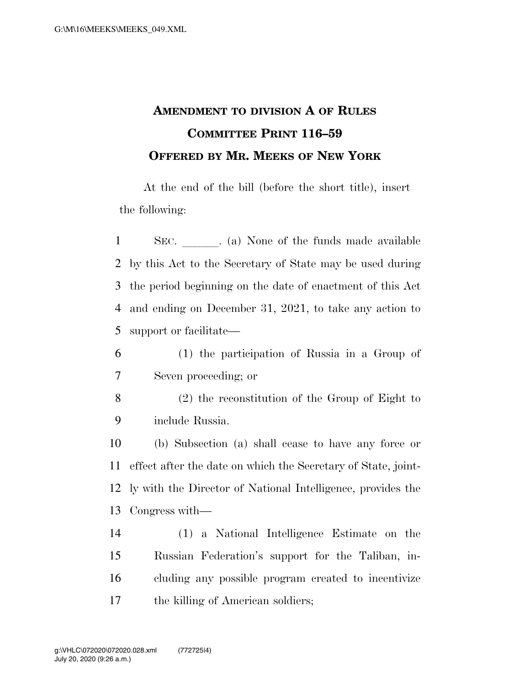## **AMENDMENT TO DIVISION A OF RULES COMMITTEE PRINT 116–59 OFFERED BY MR. MEEKS OF NEW YORK**

At the end of the bill (before the short title), insert the following:

1 SEC. (a) None of the funds made available by this Act to the Secretary of State may be used during the period beginning on the date of enactment of this Act and ending on December 31, 2021, to take any action to support or facilitate—

- (1) the participation of Russia in a Group of Seven proceeding; or
- (2) the reconstitution of the Group of Eight to include Russia.

 (b) Subsection (a) shall cease to have any force or effect after the date on which the Secretary of State, joint- ly with the Director of National Intelligence, provides the Congress with—

 (1) a National Intelligence Estimate on the Russian Federation's support for the Taliban, in- cluding any possible program created to incentivize the killing of American soldiers;